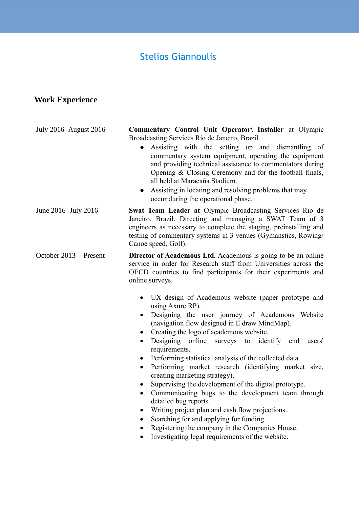# Stelios Giannoulis

## **Work Experience**

| <b>July 2016-August 2016</b> | Commentary Control Unit Operator\ Installer at Olympic<br>Broadcasting Services Rio de Janeiro, Brazil.                                                                                                                                                                                                                                                                                                                                                                                                                                                                                                                                                                                                                                                                                                                                                                                     |
|------------------------------|---------------------------------------------------------------------------------------------------------------------------------------------------------------------------------------------------------------------------------------------------------------------------------------------------------------------------------------------------------------------------------------------------------------------------------------------------------------------------------------------------------------------------------------------------------------------------------------------------------------------------------------------------------------------------------------------------------------------------------------------------------------------------------------------------------------------------------------------------------------------------------------------|
|                              | Assisting with the setting up and dismantling of<br>commentary system equipment, operating the equipment<br>and providing technical assistance to commentators during<br>Opening $& Closing$ Ceremony and for the football finals,<br>all held at Maracaña Stadium.<br>Assisting in locating and resolving problems that may<br>$\bullet$<br>occur during the operational phase.                                                                                                                                                                                                                                                                                                                                                                                                                                                                                                            |
| June 2016- July 2016         | Swat Team Leader at Olympic Broadcasting Services Rio de<br>Janeiro, Brazil. Directing and managing a SWAT Team of 3<br>engineers as necessary to complete the staging, preinstalling and<br>testing of commentary systems in 3 venues (Gymanstics, Rowing/<br>Canoe speed, Golf).                                                                                                                                                                                                                                                                                                                                                                                                                                                                                                                                                                                                          |
| October 2013 - Present       | <b>Director of Academous Ltd.</b> Academous is going to be an online<br>service in order for Research staff from Universities across the<br>OECD countries to find participants for their experiments and<br>online surveys.                                                                                                                                                                                                                                                                                                                                                                                                                                                                                                                                                                                                                                                                |
|                              | UX design of Academous website (paper prototype and<br>$\bullet$<br>using Axure RP).<br>Designing the user journey of Academous<br>Website<br>$\bullet$<br>(navigation flow designed in E draw MindMap).<br>Creating the logo of academous website.<br>Designing online surveys to identify end<br>users'<br>$\bullet$<br>requirements.<br>Performing statistical analysis of the collected data.<br>$\bullet$<br>Performing market research (identifying market size,<br>$\bullet$<br>creating marketing strategy).<br>Supervising the development of the digital prototype.<br>$\bullet$<br>Communicating bugs to the development team through<br>detailed bug reports.<br>Writing project plan and cash flow projections.<br>$\bullet$<br>Searching for and applying for funding.<br>Registering the company in the Companies House.<br>Investigating legal requirements of the website. |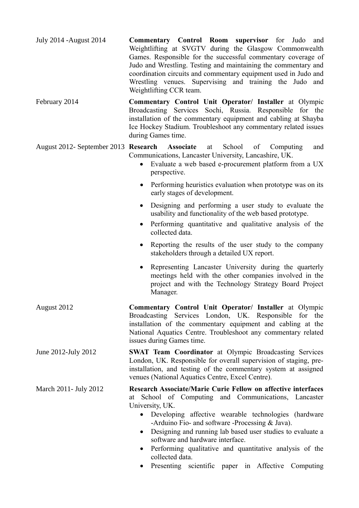| July 2014 - August 2014 | <b>Commentary Control Room supervisor</b> for Judo and                             |  |  |  |  |
|-------------------------|------------------------------------------------------------------------------------|--|--|--|--|
|                         | Weightlifting at SVGTV during the Glasgow Commonwealth                             |  |  |  |  |
|                         | Games. Responsible for the successful commentary coverage of                       |  |  |  |  |
|                         | Judo and Wrestling. Testing and maintaining the commentary and                     |  |  |  |  |
|                         | coordination circuits and commentary equipment used in Judo and                    |  |  |  |  |
|                         | Wrestling venues. Supervising and training the Judo and<br>Weightlifting CCR team. |  |  |  |  |

February 2014 **Commentary Control Unit Operator/ Installer** at Olympic Broadcasting Services Sochi, Russia. Responsible for the installation of the commentary equipment and cabling at Shayba Ice Hockey Stadium. Troubleshoot any commentary related issues during Games time.

August 2012- September 2013 **Research Associate** at School of Computing and Communications, Lancaster University, Lancashire, UK.

- Evaluate a web based e-procurement platform from a UX perspective.
- Performing heuristics evaluation when prototype was on its early stages of development.
- Designing and performing a user study to evaluate the usability and functionality of the web based prototype.
- Performing quantitative and qualitative analysis of the collected data.
- Reporting the results of the user study to the company stakeholders through a detailed UX report.
- Representing Lancaster University during the quarterly meetings held with the other companies involved in the project and with the Technology Strategy Board Project Manager.
- August 2012 **Commentary Control Unit Operator/ Installer** at Olympic Broadcasting Services London, UK. Responsible for the installation of the commentary equipment and cabling at the National Aquatics Centre. Troubleshoot any commentary related issues during Games time.
- June 2012-July 2012 **SWAT Team Coordinator** at Olympic Broadcasting Services London, UK. Responsible for overall supervision of staging, preinstallation, and testing of the commentary system at assigned venues (National Aquatics Centre, Excel Centre).
- March 2011- July 2012 **Research Associate/Marie Curie Fellow on affective interfaces** at School of Computing and Communications, Lancaster University, UK.
	- Developing affective wearable technologies (hardware -Arduino Fio- and software -Processing & Java).
	- Designing and running lab based user studies to evaluate a software and hardware interface.
	- Performing qualitative and quantitative analysis of the collected data.
	- Presenting scientific paper in Affective Computing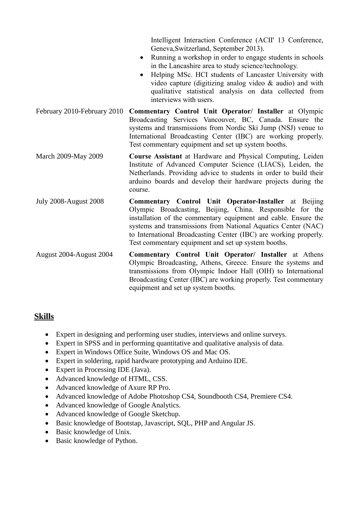|                              | Intelligent Interaction Conference (ACII' 13 Conference,<br>Geneva, Switzerland, September 2013).<br>Running a workshop in order to engage students in schools<br>$\bullet$<br>in the Lancashire area to study science/technology.<br>Helping MSc. HCI students of Lancaster University with<br>$\bullet$<br>video capture (digitizing analog video $\&$ audio) and with<br>qualitative statistical analysis on data collected from<br>interviews with users. |
|------------------------------|---------------------------------------------------------------------------------------------------------------------------------------------------------------------------------------------------------------------------------------------------------------------------------------------------------------------------------------------------------------------------------------------------------------------------------------------------------------|
| February 2010-February 2010  | Commentary Control Unit Operator/ Installer at Olympic<br>Broadcasting Services Vancouver, BC, Canada. Ensure the<br>systems and transmissions from Nordic Ski Jump (NSJ) venue to<br>International Broadcasting Center (IBC) are working properly.<br>Test commentary equipment and set up system booths.                                                                                                                                                    |
| March 2009-May 2009          | <b>Course Assistant</b> at Hardware and Physical Computing, Leiden<br>Institute of Advanced Computer Science (LIACS), Leiden, the<br>Netherlands. Providing advice to students in order to build their<br>arduino boards and develop their hardware projects during the<br>course.                                                                                                                                                                            |
| <b>July 2008-August 2008</b> | <b>Commentary Control Unit Operator-Installer</b> at Beijing<br>Olympic Broadcasting, Beijing, China. Responsible for the<br>installation of the commentary equipment and cable. Ensure the<br>systems and transmissions from National Aquatics Center (NAC)<br>to International Broadcasting Center (IBC) are working properly.<br>Test commentary equipment and set up system booths.                                                                       |
| August 2004-August 2004      | Commentary Control Unit Operator/ Installer at Athens<br>Olympic Broadcasting, Athens, Greece. Ensure the systems and<br>transmissions from Olympic Indoor Hall (OIH) to International<br>Broadcasting Center (IBC) are working properly. Test commentary<br>equipment and set up system booths.                                                                                                                                                              |

#### **Skills**

- Expert in designing and performing user studies, interviews and online surveys.
- Expert in SPSS and in performing quantitative and qualitative analysis of data.
- Expert in Windows Office Suite, Windows OS and Mac OS.
- Expert in soldering, rapid hardware prototyping and Arduino IDE.
- Expert in Processing IDE (Java).
- Advanced knowledge of HTML, CSS.
- Advanced knowledge of Axure RP Pro.
- Advanced knowledge of Adobe Photoshop CS4, Soundbooth CS4, Premiere CS4.
- Advanced knowledge of Google Analytics.
- Advanced knowledge of Google Sketchup.
- Basic knowledge of Bootstap, Javascript, SQL, PHP and Angular JS.
- Basic knowledge of Unix.
- Basic knowledge of Python.